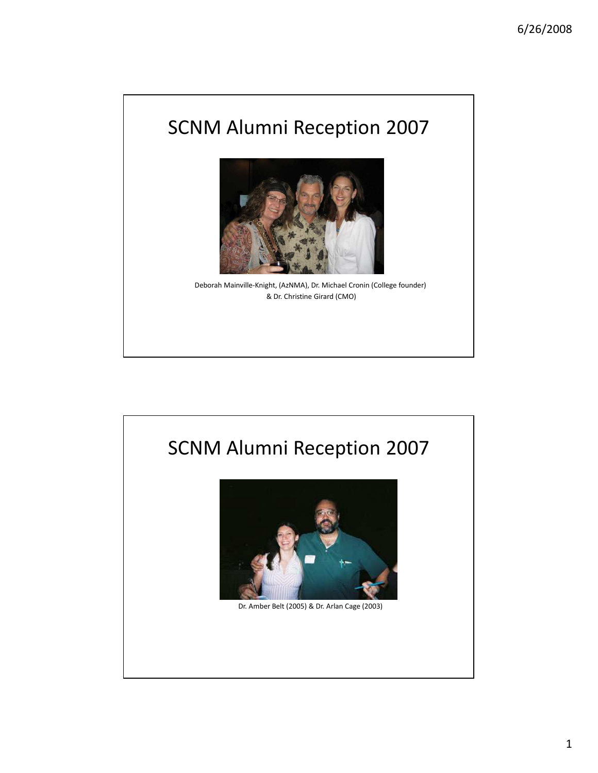

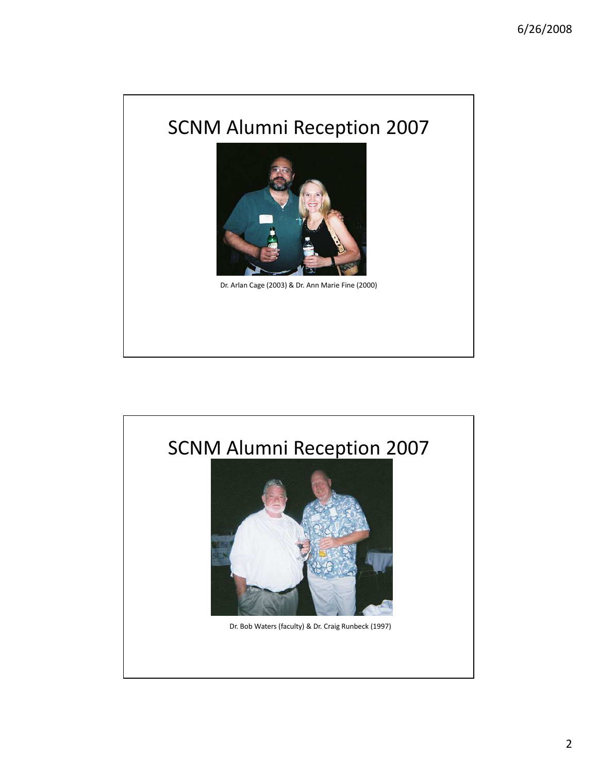

Dr. Arlan Cage (2003) & Dr. Ann Marie Fine (2000)

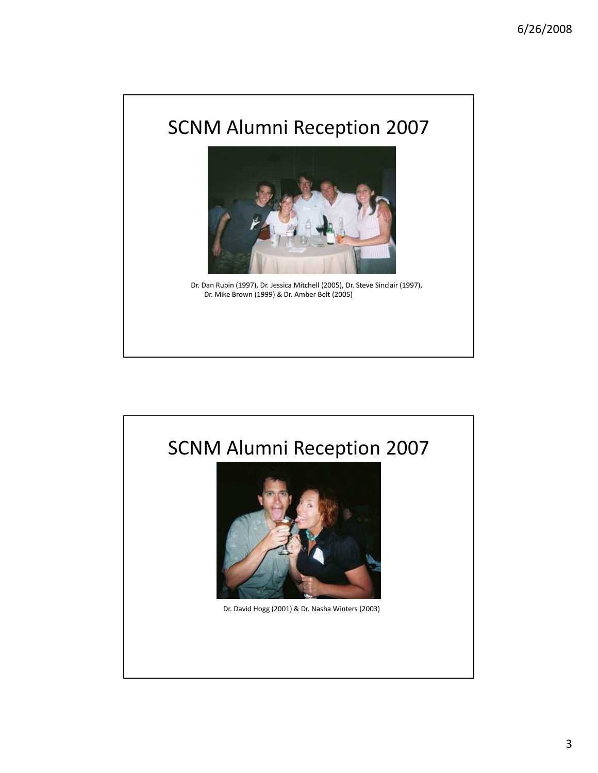

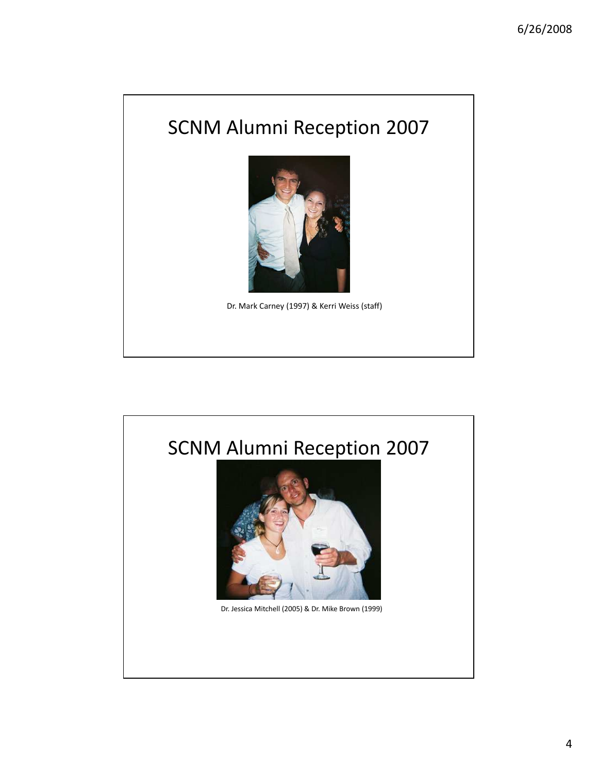

Dr. Mark Carney (1997) & Kerri Weiss (staff)

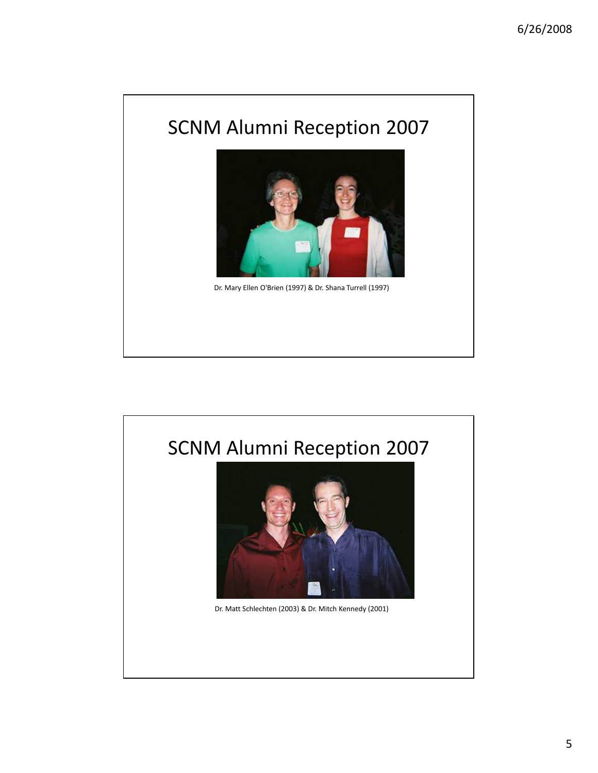

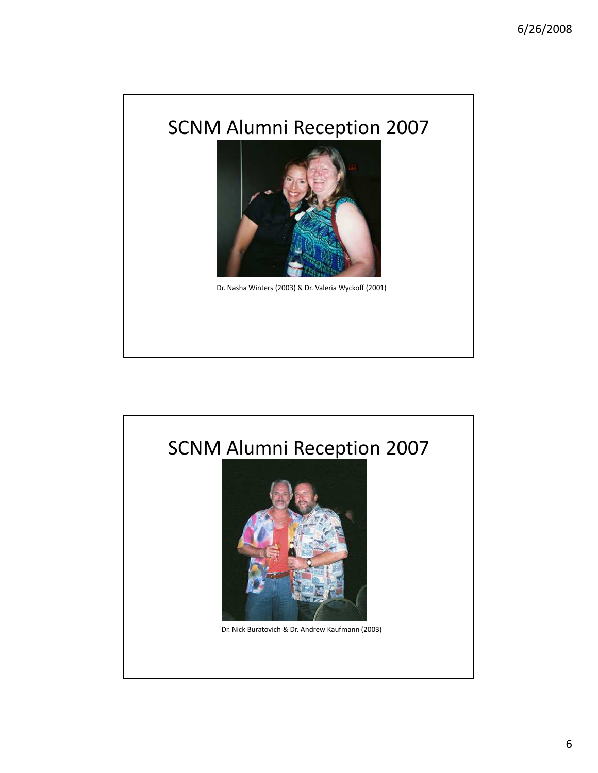

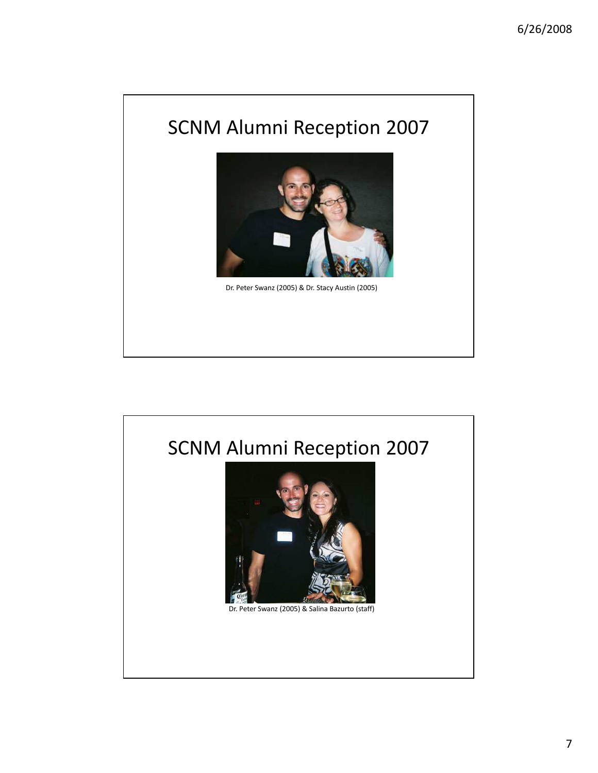

Dr. Peter Swanz (2005) & Dr. Stacy Austin (2005)

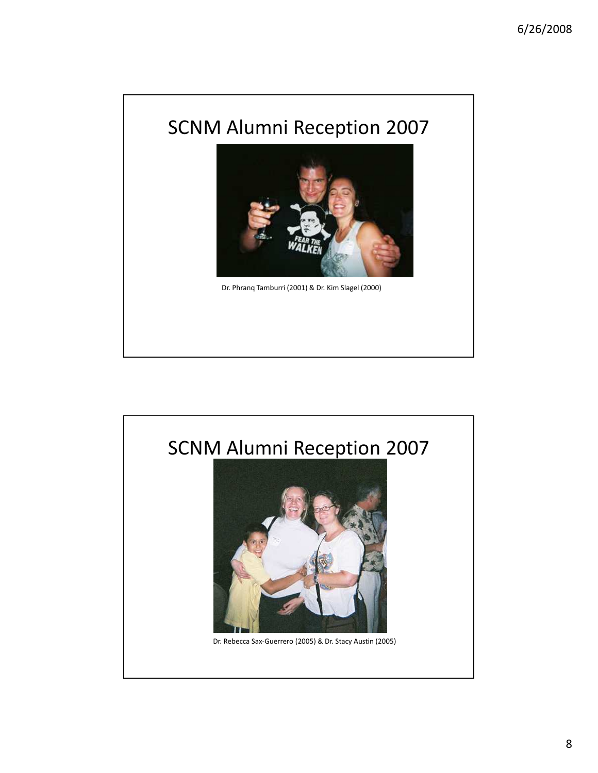

Dr. Phranq Tamburri (2001) & Dr. Kim Slagel (2000)